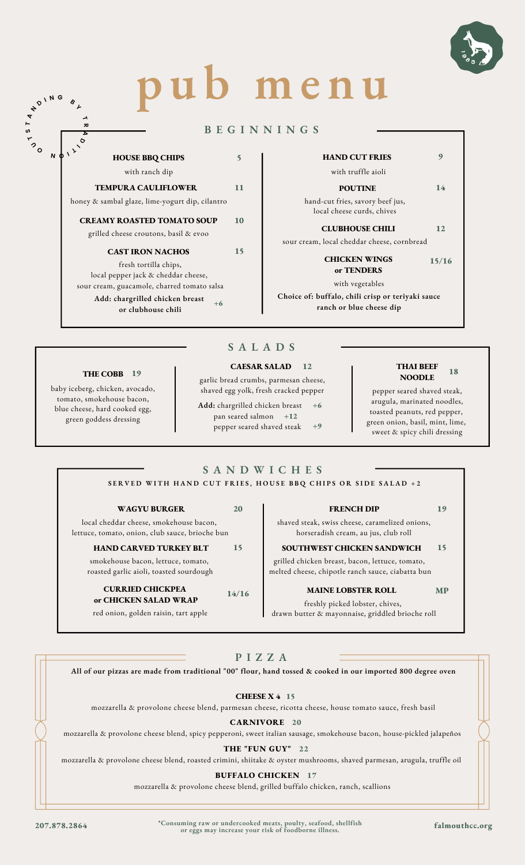

# **p u b me n u**

#### **B E G I N N I N G S**

#### **HOUSE BBQ CHIPS FRIES** with ranch dip

# **TEMPURA CAULIFLOWER 11**

honey & sambal glaze, lime-yogurt dip, cilantro hand-cut fries, savory beef jus,

#### **CREAMY ROASTED TOMATO SOUP 10**

#### grilled cheese croutons, basil & evoo

#### **CAST IRON NACHOS 15**

fresh tortilla chips, local pepper jack & cheddar cheese, sour cream, guacamole, charred tomato salsa

> **Add: chargrilled chicken breast or clubhouse chili +6**

# **HAND CUT FRIES** 9

#### with truffle aioli

#### **POUTINE** 14

local cheese curds, chives

**CLUBHOUSE CHILI 12**

sour cream, local cheddar cheese, cornbread

#### **CHICKEN WINGS or TENDERS 15/16**

with vegetables

**Choice of: buffalo, chili crisp or teriyaki sauce ranch or blue cheese dip**

#### **S A L A D S**

#### **THE COBB 19**

baby iceberg, chicken, avocado, tomato, smokehouse bacon, blue cheese, hard cooked egg, green goddess dressing

 $\alpha$ 

**T S T A**

**N**

**D <sup>I</sup> <sup>N</sup> <sup>G</sup> <sup>B</sup> <sup>Y</sup>**

**I**  $\sqrt{2}$ 

 $\overline{\phantom{a}}$ **R A D**

#### **CAESAR SALAD**

garlic bread crumbs, parmesan cheese, shaved egg yolk, fresh cracked pepper

**Add:** chargrilled chicken breast pan seared salmon **+12** pepper seared shaved steak **+6 +9**

#### **12 THAI BEEF NOODLE 18**

pepper seared shaved steak, arugula, marinated noodles, toasted peanuts, red pepper, green onion, basil, mint, lime, sweet & spicy chili dressing

#### **S A N D W I C H E S** SERVED WITH HAND CUT FRIES, HOUSE BBQ CHIPS OR SIDE SALAD +2

#### **WAGYURURGER** 20

local cheddar cheese, smokehouse bacon, lettuce, tomato, onion, club sauce, brioche bun

#### **HAND CARVED TURKEY BLT SOUTHWEST CHICKEN SANDWICH 15 15**

smokehouse bacon, lettuce, tomato, roasted garlic aioli, toasted sourdough

#### **CURRIED CHICKPEA or CHICKEN SALAD WRAP**

red onion, golden raisin, tart apple

shaved steak, swiss cheese, caramelized onions,

grilled chicken breast, bacon, lettuce, tomato, melted cheese, chipotle ranch sauce, ciabatta bun

### **MAINE LOBSTER ROLL 14/16 MP**

freshly picked lobster, chives,

drawn butter & mayonnaise, griddled brioche roll

#### **P I Z Z A**

All of our pizzas are made from traditional "00" flour, hand tossed & cooked in our imported 800 degree oven

**CHEESE X 4 15**

mozzarella & provolone cheese blend, parmesan cheese, ricotta cheese, house tomato sauce, fresh basil

**CARNIVORE 20**

mozzarella & provolone cheese blend, spicy pepperoni, sweet italian sausage, smokehouse bacon, house-pickled jalapeños

#### **THE "FUN GUY" 22**

mozzarella & provolone cheese blend, roasted crimini, shiitake & oyster mushrooms, shaved parmesan, arugula, truffle oil

#### **BUFFALO CHICKEN 17**

mozzarella & provolone cheese blend, grilled buffalo chicken, ranch, scallions

[207.878.2864](https://www.google.com/search?q=falmouth+country+club&source=hp&ei=dYIRYuKlH7jMytMP7YSsgAU&iflsig=AHkkrS4AAAAAYhGQhQUu-68dUEOlKvgo8pPQtSt0Bur8&gs_ssp=eJzj4tZP1zcsSSs3yi00NGC0UjWoMElOMrIwTTZPNTEzNTE1NrcyqEhMS000TU01NDJNM08ySTX3Ek1LzMnNLy3JUEjOL80rKapUSM4pTQIAPHwXbQ&oq=falmouth+coun&gs_lcp=Cgdnd3Mtd2l6EAEYADILCC4QgAQQxwEQrwEyCAgAEIAEEMkDMgUIABCABDIFCAAQgAQyBQgAEIAEMgUIABCABDIFCAAQgAQyBQgAEIAEMgsILhCABBDHARCvATIFCAAQgAQ6EQguEIAEELEDEIMBEMcBENEDOggIABCABBCxAzoOCC4QgAQQsQMQxwEQ0QM6DgguEIAEELEDEMcBEKMCOgsILhCABBDHARCjAjoLCAAQgAQQsQMQgwE6EQguEIAEELEDEMcBENEDENQCOgUILhCABDoICC4QgAQQsQM6EQguEIAEELEDEIMBEMcBEK8BUABYmh5gqcgDaABwAHgAgAHAB4gBwRaSAQkyLjcuMy42LTGYAQCgAQE&sclient=gws-wiz#) <sup>\*</sup>Consuming raw or undercooked meats, poulty, seafood, shellfish falmouthcc.org<br>or eggs may increase your risk of foodborne illness.

# horseradish cream, au jus, club roll

**2008 TRENCH DIP** 19